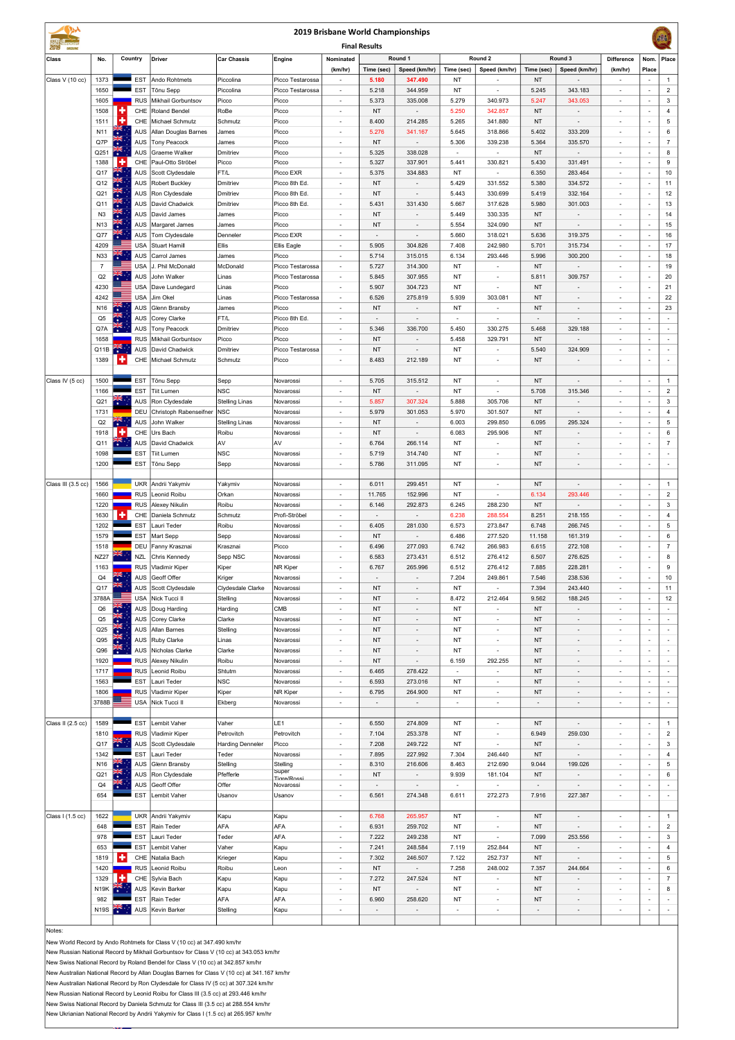| 2019 Brisbane World Championships |                                  |                                                                                                                                                                         |                          |                                              |                         |                           |                                                      |                          |                                     |                          |                                                      |                          |                                                      | $\sqrt{36}$                                          |                                                      |                          |
|-----------------------------------|----------------------------------|-------------------------------------------------------------------------------------------------------------------------------------------------------------------------|--------------------------|----------------------------------------------|-------------------------|---------------------------|------------------------------------------------------|--------------------------|-------------------------------------|--------------------------|------------------------------------------------------|--------------------------|------------------------------------------------------|------------------------------------------------------|------------------------------------------------------|--------------------------|
| <b>Final Results</b>              |                                  |                                                                                                                                                                         |                          |                                              |                         |                           |                                                      |                          |                                     |                          |                                                      |                          |                                                      |                                                      |                                                      |                          |
| Class                             | No.                              |                                                                                                                                                                         | Country                  | <b>Driver</b>                                | Car Chassis             | Engine                    | Nominated                                            | Time (sec)               | Round 1<br>Speed (km/hr)            | Time (sec)               | Round 2<br>Speed (km/hr)                             |                          | Round 3<br>Speed (km/hr)                             | <b>Difference</b>                                    | Nom.<br>Place                                        | Place                    |
| Class V (10 cc)                   | 1373                             |                                                                                                                                                                         | <b>EST</b>               | Ando Rohtmets                                | Piccolina               | Picco Testarossa          | (km/hr)<br>$\overline{\phantom{a}}$                  | 5.180                    | 347.490                             | NT                       |                                                      | Time (sec)<br>NT         |                                                      | (km/hr)                                              | $\sim$                                               | $\mathbf{1}$             |
|                                   | 1650                             |                                                                                                                                                                         | <b>EST</b>               | Tõnu Sepp                                    | Piccolina               | Picco Testarossa          |                                                      | 5.218                    | 344.959                             | NT                       | $\overline{\phantom{a}}$                             | 5.245                    | 343.183                                              |                                                      | $\sim$                                               | $\overline{2}$           |
|                                   | 1605                             |                                                                                                                                                                         | <b>RUS</b>               | <b>Mikhail Gorbuntsov</b>                    | Picco                   | Picco                     | $\overline{\phantom{a}}$                             | 5.373                    | 335.008                             | 5.279                    | 340.973                                              | 5.247                    | 343.053                                              | $\overline{\phantom{a}}$                             | $\sim$                                               | 3                        |
|                                   | 1508                             | ٠                                                                                                                                                                       | CHE                      | <b>Roland Bendel</b>                         | RoBe                    | Picco                     |                                                      | <b>NT</b>                |                                     | 5.250                    | 342.857                                              | NT                       |                                                      |                                                      | $\overline{\phantom{a}}$                             | 4                        |
|                                   | 1511                             | ٠                                                                                                                                                                       | CHE                      | Michael Schmutz                              | Schmutz                 | Picco                     |                                                      | 8.400                    | 214.285                             | 5.265                    | 341.880                                              | NT                       |                                                      | $\overline{a}$                                       | $\sim$                                               | $\sqrt{5}$               |
|                                   | N <sub>11</sub>                  |                                                                                                                                                                         | <b>AUS</b>               | Allan Douglas Barnes                         | James                   | Picco                     |                                                      | 5.276                    | 341.167                             | 5.645                    | 318.866                                              | 5.402                    | 333.209                                              | $\overline{\phantom{a}}$                             | $\overline{\phantom{a}}$                             | 6                        |
|                                   | Q7P                              |                                                                                                                                                                         | AUS                      | <b>Tony Peacock</b>                          | James                   | Picco                     |                                                      | <b>NT</b>                |                                     | 5.306                    | 339.238                                              | 5.364                    | 335.570                                              | $\overline{\phantom{a}}$                             | $\overline{\phantom{a}}$                             | $\overline{7}$           |
|                                   | Q251                             | শ়≍<br>H                                                                                                                                                                | <b>AUS</b>               | Graeme Walker                                | Dmitriev                | Picco                     | $\overline{\phantom{a}}$                             | 5.325<br>5.327           | 338.028                             | $\overline{\phantom{a}}$ | $\overline{\phantom{a}}$                             | NT                       | $\overline{\phantom{a}}$                             | $\blacksquare$                                       | $\sim$<br>$\sim$                                     | 8<br>9                   |
|                                   | 1388<br>Q17                      | $\mathbf{r}$                                                                                                                                                            | CHE<br><b>AUS</b>        | Paul-Otto Ströbel<br>Scott Clydesdale        | Picco<br>FT/L           | Picco<br>Picco EXR        | $\overline{\phantom{a}}$                             | 5.375                    | 337.901<br>334.883                  | 5.441<br>NT              | 330.821<br>$\overline{\phantom{a}}$                  | 5.430<br>6.350           | 331.491<br>283.464                                   | $\overline{\phantom{0}}$<br>$\overline{a}$           | $\sim$                                               | 10                       |
|                                   | Q12                              | $\frac{1}{\sqrt{K}}$                                                                                                                                                    | <b>AUS</b>               | <b>Robert Buckley</b>                        | Dmitriev                | Picco 8th Ed.             | $\overline{\phantom{a}}$                             | <b>NT</b>                |                                     | 5.429                    | 331.552                                              | 5.380                    | 334.572                                              | $\overline{\phantom{a}}$                             | $\overline{\phantom{a}}$                             | 11                       |
|                                   | Q21                              | WK<br>*                                                                                                                                                                 | <b>AUS</b>               | Ron Clydesdale                               | Dmitriev                | Picco 8th Ed.             | $\overline{\phantom{a}}$                             | <b>NT</b>                |                                     | 5.443                    | 330.699                                              | 5.419                    | 332.164                                              | $\overline{\phantom{0}}$                             | $\sim$                                               | 12                       |
|                                   | Q11                              | 業                                                                                                                                                                       | AUS                      | David Chadwick                               | Dmitriev                | Picco 8th Ed.             | $\overline{\phantom{a}}$                             | 5.431                    | 331.430                             | 5.667                    | 317.628                                              | 5.980                    | 301.003                                              | $\overline{\phantom{a}}$                             | $\sim$                                               | 13                       |
|                                   | N <sub>3</sub>                   | $\frac{3k}{4}$                                                                                                                                                          | <b>AUS</b>               | David James                                  | James                   | Picco                     | $\overline{\phantom{a}}$                             | <b>NT</b>                |                                     | 5.449                    | 330.335                                              | <b>NT</b>                | $\overline{\phantom{a}}$                             | $\overline{\phantom{a}}$                             | $\sim$                                               | 14                       |
|                                   | N <sub>13</sub>                  | $\frac{1}{2k}$                                                                                                                                                          |                          | AUS   Margaret James                         | James                   | Picco                     | $\overline{\phantom{a}}$                             | <b>NT</b>                |                                     | 5.554                    | 324.090                                              | <b>NT</b>                | $\overline{\phantom{a}}$                             | $\overline{\phantom{a}}$                             | $\overline{\phantom{a}}$                             | 15                       |
|                                   | Q77                              | H                                                                                                                                                                       | AUS                      | Tom Clydesdale                               | Denneler                | Picco EXR                 | $\overline{\phantom{a}}$                             | $\overline{\phantom{a}}$ | $\overline{\phantom{a}}$            | 5.660                    | 318.021                                              | 5.636                    | 319.375                                              | $\blacksquare$                                       | $\sim$                                               | 16                       |
|                                   | 4209                             | $\leq$ .                                                                                                                                                                | <b>USA</b>               | Stuart Hamill                                | Ellis                   | Ellis Eagle               | $\overline{\phantom{a}}$                             | 5.905                    | 304.826                             | 7.408                    | 242.980                                              | 5.701                    | 315.734                                              | $\overline{\phantom{a}}$                             | $\overline{\phantom{a}}$                             | 17                       |
|                                   | N33                              |                                                                                                                                                                         | <b>AUS</b>               | Carrol James                                 | James                   | Picco                     | $\overline{\phantom{a}}$                             | 5.714                    | 315.015                             | 6.134                    | 293.446                                              | 5.996                    | 300.200                                              | $\overline{\phantom{a}}$                             | $\overline{\phantom{a}}$                             | 18                       |
|                                   | $\overline{7}$<br>Q <sub>2</sub> | 和                                                                                                                                                                       | <b>USA</b><br><b>AUS</b> | J. Phil McDonald<br>John Walker              | McDonald                | Picco Testarossa          | $\overline{\phantom{a}}$                             | 5.727<br>5.845           | 314.300                             | NT<br>NT                 | $\overline{\phantom{a}}$                             | <b>NT</b>                | $\overline{\phantom{a}}$<br>309.757                  | $\overline{\phantom{a}}$                             | $\overline{\phantom{a}}$<br>$\overline{\phantom{a}}$ | 19<br>20                 |
|                                   | 4230                             |                                                                                                                                                                         |                          | USA   Dave Lundegard                         | Linas<br>Linas          | Picco Testarossa<br>Picco | $\overline{\phantom{a}}$                             | 5.907                    | 307.955<br>304.723                  | NT                       | $\overline{\phantom{a}}$<br>$\overline{\phantom{a}}$ | 5.811<br><b>NT</b>       |                                                      | $\overline{\phantom{a}}$<br>$\overline{\phantom{a}}$ | $\overline{\phantom{a}}$                             | 21                       |
|                                   | 4242                             |                                                                                                                                                                         | <b>USA</b>               | Jim Okel                                     | Linas                   | Picco Testarossa          | $\overline{\phantom{a}}$                             | 6.526                    | 275.819                             | 5.939                    | 303.081                                              | <b>NT</b>                |                                                      | $\overline{\phantom{a}}$                             | $\overline{\phantom{a}}$                             | 22                       |
|                                   | N <sub>16</sub>                  | ĬĶ.                                                                                                                                                                     | <b>AUS</b>               | Glenn Bransby                                | James                   | Picco                     | $\overline{\phantom{a}}$                             | <b>NT</b>                |                                     | NT                       |                                                      | ΝT                       | $\overline{\phantom{a}}$                             | $\overline{\phantom{a}}$                             | $\overline{\phantom{a}}$                             | 23                       |
|                                   | Q <sub>5</sub>                   | 清·                                                                                                                                                                      | <b>AUS</b>               | Corey Clarke                                 | FT/L                    | Picco 8th Ed.             |                                                      | $\overline{\phantom{a}}$ |                                     | $\sim$                   |                                                      | $\overline{\phantom{a}}$ | $\overline{\phantom{a}}$                             | $\overline{\phantom{0}}$                             | $\overline{\phantom{a}}$                             | $\overline{\phantom{a}}$ |
|                                   | Q7A                              | $\frac{1}{2}$                                                                                                                                                           | <b>AUS</b>               | <b>Tony Peacock</b>                          | Dmitriev                | Picco                     |                                                      | 5.346                    | 336.700                             | 5.450                    | 330.275                                              | 5.468                    | 329.188                                              | $\overline{\phantom{a}}$                             | $\sim$                                               | $\overline{\phantom{a}}$ |
|                                   | 1658                             |                                                                                                                                                                         | <b>RUS</b>               | Mikhail Gorbuntsov                           | Picco                   | Picco                     |                                                      | <b>NT</b>                |                                     | 5.458                    | 329.791                                              | <b>NT</b>                | $\overline{\phantom{a}}$                             | $\overline{a}$                                       | $\sim$                                               | $\sim$                   |
|                                   | Q11B                             | ॣॕॣॕ                                                                                                                                                                    | AUS                      | David Chadwick                               | Dmitriev                | Picco Testarossa          | $\overline{\phantom{a}}$                             | <b>NT</b>                |                                     | ΝT                       | $\overline{\phantom{a}}$                             | 5.540                    | 324.909                                              | $\overline{\phantom{0}}$                             | $\sim$                                               | $\sim$                   |
|                                   | 1389                             | ۰                                                                                                                                                                       | CHE                      | Michael Schmutz                              | Schmutz                 | Picco                     |                                                      | 8.483                    | 212.189                             | NT                       | $\overline{\phantom{a}}$                             | <b>NT</b>                |                                                      | $\overline{\phantom{0}}$                             | $\sim$                                               | $\overline{\phantom{a}}$ |
|                                   |                                  |                                                                                                                                                                         |                          |                                              |                         |                           |                                                      |                          |                                     |                          |                                                      |                          |                                                      |                                                      |                                                      |                          |
| Class IV (5 cc)                   | 1500                             |                                                                                                                                                                         | <b>EST</b>               | Tõnu Sepp                                    | Sepp                    | Novarossi                 | $\overline{\phantom{a}}$                             | 5.705                    | 315.512                             | <b>NT</b>                | $\overline{\phantom{a}}$                             | NT                       | $\overline{\phantom{a}}$                             | $\blacksquare$                                       | $\sim$                                               | $\overline{1}$           |
|                                   | 1166                             | ৰ্ছ⊶়                                                                                                                                                                   | <b>EST</b>               | <b>Tiit Lumen</b>                            | <b>NSC</b>              | Novarossi                 |                                                      | <b>NT</b><br>5.857       |                                     | NT                       | $\blacksquare$<br>305.706                            | 5.708                    | 315.346                                              | $\overline{a}$                                       | $\sim$<br>$\sim$                                     | $\overline{2}$           |
|                                   | Q21<br>1731                      |                                                                                                                                                                         | <b>AUS</b><br><b>DEU</b> | Ron Clydesdale<br>Christoph Rabenseifner NSC | Stelling Linas          | Novarossi<br>Novarossi    | $\overline{\phantom{a}}$                             | 5.979                    | 307.324<br>301.053                  | 5.888<br>5.970           |                                                      | <b>NT</b><br>$\sf{NT}$   |                                                      | $\blacksquare$                                       |                                                      | 3<br>$\overline{4}$      |
|                                   | Q2                               | ৰ়ম্∗                                                                                                                                                                   | <b>AUS</b>               | John Walker                                  | <b>Stelling Linas</b>   | Novarossi                 |                                                      | <b>NT</b>                |                                     | 6.003                    | 301.507<br>299.850                                   | 6.095                    | 295.324                                              | $\overline{a}$                                       | $\overline{\phantom{a}}$                             | 5                        |
|                                   | 1918                             | ۰                                                                                                                                                                       | CHE                      | Urs Bach                                     | Roibu                   | Novarossi                 | $\overline{\phantom{a}}$                             | <b>NT</b>                | $\overline{\phantom{a}}$            | 6.083                    | 295.906                                              | NT                       |                                                      | $\overline{\phantom{0}}$                             | $\sim$                                               | 6                        |
|                                   | Q11                              | ন্≂<br>*                                                                                                                                                                | <b>AUS</b>               | David Chadwick                               | AV                      | AV                        | $\overline{\phantom{a}}$                             | 6.764                    | 266.114                             | NT                       | $\blacksquare$                                       | NT                       |                                                      | $\overline{\phantom{0}}$                             | $\sim$                                               | $\overline{7}$           |
|                                   | 1098                             |                                                                                                                                                                         | <b>EST</b>               | <b>Tiit Lumen</b>                            | <b>NSC</b>              | Novarossi                 | $\overline{\phantom{a}}$                             | 5.719                    | 314.740                             | ΝT                       | $\overline{\phantom{a}}$                             | ΝT                       |                                                      | $\qquad \qquad \blacksquare$                         | $\overline{\phantom{a}}$                             |                          |
|                                   | 1200                             |                                                                                                                                                                         | <b>EST</b>               | Tõnu Sepp                                    | Sepp                    | Novarossi                 | $\overline{\phantom{a}}$                             | 5.786                    | 311.095                             | NT                       | $\overline{\phantom{a}}$                             | NT                       |                                                      | $\overline{\phantom{a}}$                             | $\sim$                                               |                          |
|                                   |                                  |                                                                                                                                                                         |                          |                                              |                         |                           |                                                      |                          |                                     |                          |                                                      |                          |                                                      |                                                      |                                                      |                          |
| Class III (3.5 cc)                | 1566                             |                                                                                                                                                                         |                          | UKR Andrii Yakymiv                           | Yakymiv                 | Novarossi                 | $\overline{\phantom{a}}$                             | 6.011                    | 299.451                             | NT                       | $\overline{\phantom{a}}$                             | ΝT                       | $\overline{\phantom{a}}$                             | $\overline{\phantom{a}}$                             | $\sim$                                               | $\mathbf{1}$             |
|                                   | 1660                             |                                                                                                                                                                         | <b>RUS</b>               | Leonid Roibu                                 | Orkan                   | Novarossi                 | $\overline{\phantom{a}}$                             | 11.765                   | 152.996                             | ΝT                       | $\overline{\phantom{a}}$                             | 6.134                    | 293.446                                              | $\overline{\phantom{a}}$                             | $\overline{\phantom{a}}$                             | $\overline{2}$           |
|                                   | 1220                             |                                                                                                                                                                         | <b>RUS</b>               | Alexey Nikulin                               | Roibu                   | Novarossi                 | $\overline{\phantom{a}}$                             | 6.146                    | 292.873                             | 6.245                    | 288.230                                              | <b>NT</b>                |                                                      | $\overline{\phantom{a}}$                             | $\overline{\phantom{a}}$                             | 3                        |
|                                   | 1630                             | ٠                                                                                                                                                                       | CHE                      | Daniela Schmutz                              | Schmutz                 | Profi-Ströbel             |                                                      | $\overline{\phantom{a}}$ | $\overline{\phantom{a}}$            | 6.238                    | 288.554                                              | 8.251                    | 218.155                                              | $\overline{\phantom{a}}$                             | $\overline{\phantom{a}}$                             | 4                        |
|                                   | 1202                             |                                                                                                                                                                         | <b>EST</b>               | Lauri Teder                                  | Roibu                   | Novarossi                 |                                                      | 6.405                    | 281.030                             | 6.573                    | 273.847                                              | 6.748                    | 266.745                                              | $\overline{\phantom{a}}$                             | $\overline{\phantom{a}}$                             | 5                        |
|                                   | 1579                             |                                                                                                                                                                         | EST                      | Mart Sepp                                    | Sepp                    | Novarossi                 |                                                      | <b>NT</b>                | $\overline{\phantom{a}}$            | 6.486                    | 277.520                                              | 11.158                   | 161.319                                              | $\overline{\phantom{a}}$                             | $\overline{\phantom{a}}$                             | 6                        |
|                                   | 1518                             |                                                                                                                                                                         | DEU                      | Fanny Krasznai                               | Krasznai                | Picco                     |                                                      | 6.496                    | 277.093                             | 6.742                    | 266.983                                              | 6.615                    | 272.108                                              | $\overline{\phantom{a}}$                             | $\overline{\phantom{a}}$                             | $\overline{7}$           |
|                                   | <b>NZ27</b>                      |                                                                                                                                                                         | NZL                      | Chris Kennedy                                | Sepp NSC                | Novarossi                 |                                                      | 6.583                    | 273.431                             | 6.512                    | 276.412                                              | 6.507                    | 276.625                                              | $\overline{\phantom{a}}$                             | $\overline{\phantom{a}}$                             | 8                        |
|                                   | 1163<br>Q4                       | 4                                                                                                                                                                       | <b>RUS</b><br><b>AUS</b> | Vladimir Kiper<br>Geoff Offer                | Kiper<br>Kriger         | NR Kiper<br>Novarossi     |                                                      | 6.767                    | 265.996                             | 6.512<br>7.204           | 276.412<br>249.861                                   | 7.885<br>7.546           | 228.281<br>238.536                                   | $\overline{\phantom{a}}$<br>$\overline{\phantom{a}}$ | $\overline{\phantom{a}}$<br>$\overline{\phantom{a}}$ | 9<br>10                  |
|                                   | Q17                              | 卷                                                                                                                                                                       | <b>AUS</b>               | Scott Clydesdale                             | Clydesdale Clarke       | Novarossi                 |                                                      | <b>NT</b>                |                                     | ΝT                       | $\overline{\phantom{a}}$                             | 7.394                    | 243.440                                              | $\blacksquare$                                       | $\sim$                                               | 11                       |
|                                   | 3788A                            |                                                                                                                                                                         | <b>USA</b>               | Nick Tucci II                                | Stelling                | Novarossi                 |                                                      | <b>NT</b>                |                                     | 8.472                    | 212.464                                              | 9.562                    | 188.245                                              | $\overline{\phantom{a}}$                             | $\overline{\phantom{a}}$                             | 12                       |
|                                   | Q6                               |                                                                                                                                                                         | <b>AUS</b>               | Doug Harding                                 | Harding                 | CMB                       |                                                      | <b>NT</b>                |                                     | ΝT                       | $\overline{\phantom{a}}$                             | <b>NT</b>                |                                                      | $\overline{a}$                                       | $\overline{\phantom{a}}$                             | $\overline{\phantom{a}}$ |
|                                   | Q <sub>5</sub>                   | $\frac{1}{2}$ $\frac{1}{2}$ $\frac{1}{2}$ $\frac{1}{2}$ $\frac{1}{2}$ $\frac{1}{2}$ $\frac{1}{2}$ $\frac{1}{2}$ $\frac{1}{2}$ $\frac{1}{2}$ $\frac{1}{2}$ $\frac{1}{2}$ | <b>AUS</b>               | Corey Clarke                                 | Clarke                  | Novarossi                 |                                                      | <b>NT</b>                |                                     | <b>NT</b>                | $\blacksquare$                                       | NT                       |                                                      | $\overline{\phantom{0}}$                             | $\overline{\phantom{a}}$                             |                          |
|                                   | Q25                              |                                                                                                                                                                         | <b>AUS</b>               | Allan Barnes                                 | Stelling                | Novarossi                 |                                                      | <b>NT</b>                |                                     | NT                       | $\blacksquare$                                       | NT                       |                                                      | $\overline{a}$                                       | $\sim$                                               |                          |
|                                   | Q95                              | ণ্≂<br>⊁                                                                                                                                                                | AUS                      | Ruby Clarke                                  | Linas                   | Novarossi                 |                                                      | <b>NT</b>                |                                     | NT                       | $\overline{\phantom{a}}$                             | NT                       |                                                      | $\overline{\phantom{a}}$                             | $\overline{\phantom{a}}$                             |                          |
|                                   | Q96                              |                                                                                                                                                                         | <b>AUS</b>               | Nicholas Clarke                              | Clarke                  | Novarossi                 |                                                      | <b>NT</b>                |                                     | NT                       | $\overline{\phantom{a}}$                             | NT                       |                                                      | $\qquad \qquad \blacksquare$                         | $\overline{\phantom{a}}$                             |                          |
|                                   | 1920                             |                                                                                                                                                                         | <b>RUS</b>               | Alexey Nikulin                               | Roibu                   | Novarossi                 |                                                      | <b>NT</b>                |                                     | 6.159                    | 292.255                                              | $\sf{NT}$                |                                                      | $\overline{\phantom{0}}$                             | $\overline{\phantom{a}}$                             |                          |
|                                   | 1717                             |                                                                                                                                                                         | <b>RUS</b>               | Leonid Roibu                                 | Shtutm                  | Novarossi                 | $\overline{\phantom{a}}$                             | 6.465                    | 278.422                             | $\overline{\phantom{a}}$ | $\blacksquare$                                       | NT                       |                                                      | $\overline{a}$                                       | $\sim$                                               |                          |
|                                   | 1563                             |                                                                                                                                                                         | <b>EST</b>               | Lauri Teder                                  | NSC                     | Novarossi                 |                                                      | 6.593                    | 273.016                             | ΝT                       | $\overline{\phantom{a}}$                             | $\sf{NT}$                |                                                      | $\qquad \qquad \blacksquare$                         | $\overline{\phantom{a}}$                             |                          |
|                                   | 1806                             |                                                                                                                                                                         | <b>RUS</b>               | Vladimir Kiper                               | Kiper                   | NR Kiper                  | $\overline{\phantom{a}}$                             | 6.795                    | 264.900                             | ΝT                       | $\overline{\phantom{a}}$                             | ΝT                       |                                                      | $\overline{\phantom{0}}$                             | $\overline{\phantom{a}}$                             |                          |
|                                   | 3788B                            |                                                                                                                                                                         | <b>USA</b>               | Nick Tucci II                                | Ekberg                  | Novarossi                 |                                                      | $\overline{\phantom{a}}$ |                                     |                          | $\overline{\phantom{a}}$                             | $\overline{\phantom{a}}$ |                                                      | $\overline{\phantom{a}}$                             | $\overline{\phantom{a}}$                             |                          |
| Class II (2.5 cc)                 | 1589                             |                                                                                                                                                                         | <b>EST</b>               | Lembit Vaher                                 | Vaher                   | LE1                       | $\overline{\phantom{a}}$                             | 6.550                    | 274.809                             | NT                       | $\blacksquare$                                       | <b>NT</b>                |                                                      | $\blacksquare$                                       | $\sim$                                               | $\mathbf{1}$             |
|                                   | 1810                             |                                                                                                                                                                         | RUS                      | <b>Vladimir Kiper</b>                        | Petrovitch              | Petrovitch                | $\overline{\phantom{a}}$                             | 7.104                    | 253.378                             | ΝT                       | $\overline{\phantom{a}}$                             | 6.949                    | 259.030                                              | $\overline{\phantom{0}}$                             | $\overline{\phantom{a}}$                             | $\overline{2}$           |
|                                   | Q17                              | ▓€∴                                                                                                                                                                     | <b>AUS</b>               | Scott Clydesdale                             | <b>Harding Denneler</b> | Picco                     | $\overline{\phantom{a}}$                             | 7.208                    | 249.722                             | NT                       |                                                      | <b>NT</b>                |                                                      | $\overline{\phantom{a}}$                             | $\overline{\phantom{a}}$                             | 3                        |
|                                   | 1342                             |                                                                                                                                                                         | <b>EST</b>               | Lauri Teder                                  | Teder                   | Novarossi                 | $\overline{\phantom{a}}$                             | 7.895                    | 227.992                             | 7.304                    | 246.440                                              | <b>NT</b>                |                                                      | $\overline{\phantom{a}}$                             | $\overline{\phantom{a}}$                             | 4                        |
|                                   | N <sub>16</sub>                  | ैँँ                                                                                                                                                                     | <b>AUS</b>               | <b>Glenn Bransby</b>                         | Stelling                | Stelling                  | $\overline{\phantom{a}}$                             | 8.310                    | 216.606                             | 8.463                    | 212.690                                              | 9.044                    | 199.026                                              | $\overline{\phantom{a}}$                             | $\overline{\phantom{a}}$                             | $\sqrt{5}$               |
|                                   | Q21                              | 精                                                                                                                                                                       | <b>AUS</b>               | Ron Clydesdale                               | Pfefferle               | Super<br>Tinra/Rossi      | $\overline{\phantom{a}}$                             | <b>NT</b>                | $\overline{\phantom{a}}$            | 9.939                    | 181.104                                              | <b>NT</b>                |                                                      | $\overline{\phantom{a}}$                             | $\overline{\phantom{a}}$                             | 6                        |
|                                   | Q4                               | <b>R</b>                                                                                                                                                                | <b>AUS</b>               | Geoff Offer                                  | Offer                   | Novarossi                 |                                                      |                          |                                     | $\overline{\phantom{a}}$ | $\overline{\phantom{a}}$                             | $\overline{\phantom{a}}$ |                                                      | $\qquad \qquad \blacksquare$                         | $\overline{\phantom{a}}$                             |                          |
|                                   | 654                              |                                                                                                                                                                         | <b>EST</b>               | Lembit Vaher                                 | Usanov                  | Usanov                    |                                                      | 6.561                    | 274.348                             | 6.611                    | 272.273                                              | 7.916                    | 227.387                                              | $\overline{\phantom{a}}$                             |                                                      |                          |
|                                   |                                  |                                                                                                                                                                         |                          |                                              |                         |                           |                                                      |                          |                                     |                          |                                                      |                          |                                                      |                                                      |                                                      |                          |
| Class I (1.5 cc)                  | 1622                             |                                                                                                                                                                         |                          | UKR Andrii Yakymiv                           | Kapu                    | Kapu                      | $\overline{\phantom{a}}$                             | 6.768                    | 265.957                             | NT                       | $\overline{\phantom{a}}$                             | <b>NT</b>                | $\overline{\phantom{a}}$                             | $\overline{\phantom{a}}$                             | $\overline{\phantom{a}}$                             | $\mathbf{1}$             |
|                                   | 648                              |                                                                                                                                                                         | <b>EST</b>               | Rain Teder                                   | AFA                     | AFA                       | $\overline{\phantom{a}}$                             | 6.931                    | 259.702                             | NT                       | $\overline{\phantom{a}}$                             | NT                       | $\overline{\phantom{a}}$                             | $\overline{\phantom{a}}$                             | $\overline{\phantom{a}}$                             | $\overline{2}$           |
|                                   | 978                              |                                                                                                                                                                         | EST                      | Lauri Teder                                  | Teder                   | AFA                       | $\overline{\phantom{a}}$                             | 7.222                    | 249.238                             | NT                       | $\overline{\phantom{a}}$                             | 7.099                    | 253.556                                              | $\overline{\phantom{a}}$                             | $\overline{\phantom{a}}$                             | 3                        |
|                                   | 653                              |                                                                                                                                                                         | EST                      | Lembit Vaher                                 | Vaher                   | Kapu                      | $\overline{\phantom{a}}$                             | 7.241                    | 248.584                             | 7.119                    | 252.844                                              | <b>NT</b>                | $\overline{\phantom{a}}$                             | $\overline{\phantom{a}}$                             | $\sim$                                               | 4                        |
|                                   | 1819                             | ٠                                                                                                                                                                       | CHE                      | Natalia Bach                                 | Krieger                 | Kapu                      | $\overline{\phantom{a}}$                             | 7.302                    | 246.507                             | 7.122                    | 252.737                                              | NT                       | $\overline{\phantom{a}}$                             | $\blacksquare$                                       | $\sim$                                               | $\sqrt{5}$               |
|                                   | 1420                             |                                                                                                                                                                         | <b>RUS</b>               | Leonid Roibu                                 | Roibu                   | Leon                      | $\overline{\phantom{a}}$                             | <b>NT</b>                | $\blacksquare$                      | 7.258                    | 248.002                                              | 7.357                    | 244.664                                              | $\overline{\phantom{a}}$                             | $\sim$                                               | 6                        |
|                                   | 1329                             | ٠<br>ৰী≅্                                                                                                                                                               | CHE                      | Sylvia Bach                                  | Kapu                    | Kapu                      | $\overline{\phantom{a}}$                             | 7.272                    | 247.524                             | NT                       | $\overline{\phantom{a}}$                             | NT                       | $\overline{\phantom{a}}$                             | $\overline{\phantom{a}}$                             | $\sim$<br>$\sim$                                     | $\overline{7}$           |
|                                   | <b>N19K</b><br>982               |                                                                                                                                                                         | AUS<br><b>EST</b>        | Kevin Barker<br>Rain Teder                   | Kapu<br><b>AFA</b>      | Kapu<br><b>AFA</b>        | $\overline{\phantom{a}}$<br>$\overline{\phantom{a}}$ | <b>NT</b><br>6.960       | $\overline{\phantom{a}}$<br>258.620 | NT<br>ΝT                 | $\overline{\phantom{a}}$<br>$\overline{\phantom{a}}$ | NT<br>NT                 | $\overline{\phantom{a}}$<br>$\overline{\phantom{a}}$ | $\overline{\phantom{a}}$<br>$\overline{\phantom{a}}$ | $\sim$                                               | 8<br>$\blacksquare$      |
|                                   | <b>N19S</b>                      | ম়হ<br>∗                                                                                                                                                                | AUS                      | Kevin Barker                                 | Stelling                | Kapu                      | $\overline{\phantom{a}}$                             | $\overline{\phantom{a}}$ | $\overline{\phantom{a}}$            | $\overline{\phantom{a}}$ | $\overline{\phantom{a}}$                             | $\blacksquare$           | $\overline{\phantom{a}}$                             | $\overline{\phantom{a}}$                             | $\sim$                                               | $\sim$                   |
|                                   |                                  |                                                                                                                                                                         |                          |                                              |                         |                           |                                                      |                          |                                     |                          |                                                      |                          |                                                      |                                                      |                                                      |                          |

Notes:

New World Record by Ando Rohtmets for Class V (10 cc) at 347.490 km/hr New Russian National Record by Mikhail Gorbuntsov for Class V (10 cc) at 343.053 km/hr New Swiss National Record by Roland Bendel for Class V (10 cc) at 342.857 km/hr New Australian National Record by Allan Douglas Barnes for Class V (10 cc) at 341.167 km/hr New Australian National Record by Ron Clydesdale for Class IV (5 cc) at 307.324 km/hr New Russian National Record by Leonid Roibu for Class III (3.5 cc) at 293.446 km/hr New Swiss National Record by Daniela Schmutz for Class III (3.5 cc) at 288.554 km/hr New Ukrianian National Record by Andrii Yakymiv for Class I (1.5 cc) at 265.957 km/hr